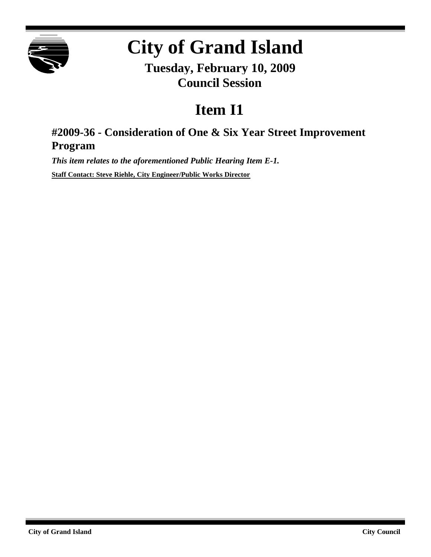

## **City of Grand Island**

**Tuesday, February 10, 2009 Council Session**

## **Item I1**

## **#2009-36 - Consideration of One & Six Year Street Improvement Program**

*This item relates to the aforementioned Public Hearing Item E-1.*

**Staff Contact: Steve Riehle, City Engineer/Public Works Director**